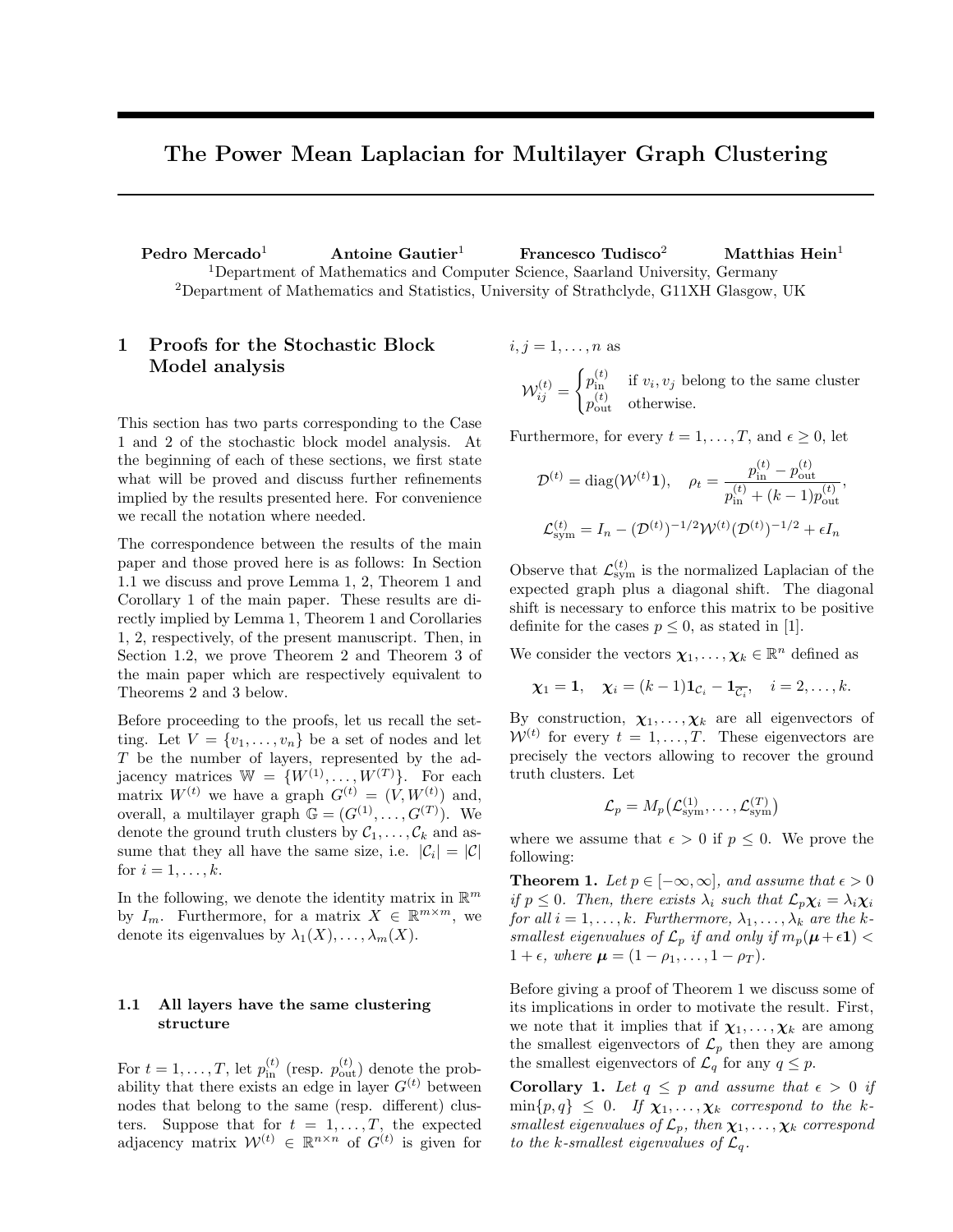# The Power Mean Laplacian for Multilayer Graph Clustering

Pedro Mercado<sup>1</sup> Antoine Gautier<sup>1</sup> Francesco Tudisco<sup>2</sup> Matthias Hein<sup>1</sup> <sup>1</sup>Department of Mathematics and Computer Science, Saarland University, Germany <sup>2</sup>Department of Mathematics and Statistics, University of Strathclyde, G11XH Glasgow, UK

## 1 Proofs for the Stochastic Block Model analysis

This section has two parts corresponding to the Case 1 and 2 of the stochastic block model analysis. At the beginning of each of these sections, we first state what will be proved and discuss further refinements implied by the results presented here. For convenience we recall the notation where needed.

The correspondence between the results of the main paper and those proved here is as follows: In Section 1.1 we discuss and prove Lemma 1, 2, Theorem 1 and Corollary 1 of the main paper. These results are directly implied by Lemma 1, Theorem 1 and Corollaries 1, 2, respectively, of the present manuscript. Then, in Section 1.2, we prove Theorem 2 and Theorem 3 of the main paper which are respectively equivalent to Theorems 2 and 3 below.

Before proceeding to the proofs, let us recall the setting. Let  $V = \{v_1, \ldots, v_n\}$  be a set of nodes and let T be the number of layers, represented by the adjacency matrices  $\mathbb{W} = \{W^{(1)}, \ldots, W^{(T)}\}.$  For each matrix  $W^{(t)}$  we have a graph  $G^{(t)} = (V, W^{(t)})$  and, overall, a multilayer graph  $\mathbb{G} = (G^{(1)}, \ldots, G^{(T)})$ . We denote the ground truth clusters by  $C_1, \ldots, C_k$  and assume that they all have the same size, i.e.  $|\mathcal{C}_i| = |\mathcal{C}|$ for  $i = 1, \ldots, k$ .

In the following, we denote the identity matrix in  $\mathbb{R}^m$ by  $I_m$ . Furthermore, for a matrix  $X \in \mathbb{R}^{m \times m}$ , we denote its eigenvalues by  $\lambda_1(X), \ldots, \lambda_m(X)$ .

### 1.1 All layers have the same clustering structure

For  $t = 1, ..., T$ , let  $p_{\text{in}}^{(t)}$  (resp.  $p_{\text{out}}^{(t)}$ ) denote the probability that there exists an edge in layer  $G^{(t)}$  between nodes that belong to the same (resp. different) clusters. Suppose that for  $t = 1, \ldots, T$ , the expected adjacency matrix  $W^{(t)} \in \mathbb{R}^{n \times n}$  of  $G^{(t)}$  is given for

 $i, j = 1, \ldots, n$  as  $\mathcal{W}_{ij}^{(t)}=% {\textstyle\sum\nolimits_{j\neq j}} \frac{\partial \mathcal{W}}{\partial x_{ij}}\frac{\partial \mathcal{W}}{\partial x_{ij}}^{\prime}\mathcal{W}_{ij}^{(t)} \label{W}%$  $\int p_{\text{in}}^{(t)}$  if  $v_i, v_j$  belong to the same cluster  $p_{\text{out}}^{(t)}$  otherwise.

Furthermore, for every  $t = 1, \ldots, T$ , and  $\epsilon \geq 0$ , let

$$
\mathcal{D}^{(t)} = \text{diag}(\mathcal{W}^{(t)}\mathbf{1}), \quad \rho_t = \frac{p_{\text{in}}^{(t)} - p_{\text{out}}^{(t)}}{p_{\text{in}}^{(t)} + (k-1)p_{\text{out}}^{(t)}},
$$

$$
\mathcal{L}_{\text{sym}}^{(t)} = I_n - (\mathcal{D}^{(t)})^{-1/2}\mathcal{W}^{(t)}(\mathcal{D}^{(t)})^{-1/2} + \epsilon I_n
$$

 $\langle t \rangle$ 

 $\langle t \rangle$ 

Observe that  $\mathcal{L}^{(t)}_{sym}$  is the normalized Laplacian of the expected graph plus a diagonal shift. The diagonal shift is necessary to enforce this matrix to be positive definite for the cases  $p \leq 0$ , as stated in [1].

We consider the vectors  $\chi_1, \ldots, \chi_k \in \mathbb{R}^n$  defined as

$$
\chi_1 = 1
$$
,  $\chi_i = (k-1)\mathbf{1}_{\mathcal{C}_i} - \mathbf{1}_{\overline{\mathcal{C}_i}}$ ,  $i = 2, ..., k$ .

By construction,  $\chi_1, \ldots, \chi_k$  are all eigenvectors of  $W^{(t)}$  for every  $t = 1, \ldots, T$ . These eigenvectors are precisely the vectors allowing to recover the ground truth clusters. Let

$$
\mathcal{L}_p = M_p(\mathcal{L}_{sym}^{(1)}, \dots, \mathcal{L}_{sym}^{(T)})
$$

where we assume that  $\epsilon > 0$  if  $p \leq 0$ . We prove the following:

**Theorem 1.** Let  $p \in [-\infty, \infty]$ , and assume that  $\epsilon > 0$ if  $p \leq 0$ . Then, there exists  $\lambda_i$  such that  $\mathcal{L}_n \chi_i = \lambda_i \chi_i$ for all  $i = 1, \ldots, k$ . Furthermore,  $\lambda_1, \ldots, \lambda_k$  are the ksmallest eigenvalues of  $\mathcal{L}_p$  if and only if  $m_p(\mu+\epsilon 1)$  $1 + \epsilon$ , where  $\mu = (1 - \rho_1, \ldots, 1 - \rho_T)$ .

Before giving a proof of Theorem 1 we discuss some of its implications in order to motivate the result. First, we note that it implies that if  $\chi_1, \ldots, \chi_k$  are among the smallest eigenvectors of  $\mathcal{L}_p$  then they are among the smallest eigenvectors of  $\mathcal{L}_q$  for any  $q \leq p$ .

Corollary 1. Let  $q \leq p$  and assume that  $\epsilon > 0$  if  $\min\{p,q\} \leq 0$ . If  $\chi_1,\ldots,\chi_k$  correspond to the ksmallest eigenvalues of  $\mathcal{L}_p$ , then  $\chi_1, \ldots, \chi_k$  correspond to the k-smallest eigenvalues of  $\mathcal{L}_q$ .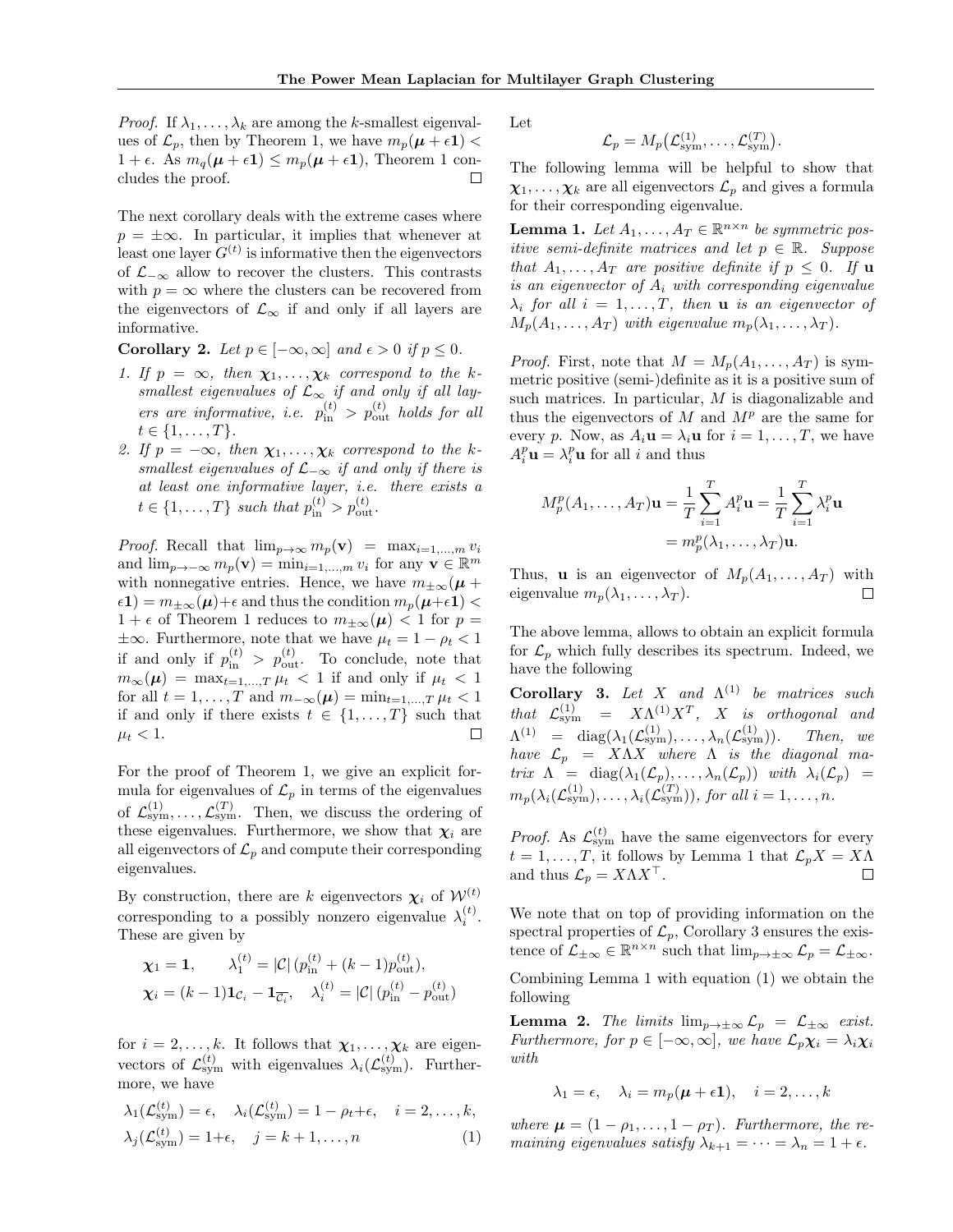*Proof.* If  $\lambda_1, \ldots, \lambda_k$  are among the k-smallest eigenvalues of  $\mathcal{L}_p$ , then by Theorem 1, we have  $m_p(\mu + \epsilon 1)$  <  $1 + \epsilon$ . As  $m_q(\mu + \epsilon \mathbf{1}) \leq m_p(\mu + \epsilon \mathbf{1})$ , Theorem 1 concludes the proof. □

The next corollary deals with the extreme cases where  $p = \pm \infty$ . In particular, it implies that whenever at least one layer  $G^{(t)}$  is informative then the eigenvectors of  $\mathcal{L}_{-\infty}$  allow to recover the clusters. This contrasts with  $p = \infty$  where the clusters can be recovered from the eigenvectors of  $\mathcal{L}_{\infty}$  if and only if all layers are informative.

Corollary 2. Let  $p \in [-\infty, \infty]$  and  $\epsilon > 0$  if  $p \leq 0$ .

- 1. If  $p = \infty$ , then  $\chi_1, \ldots, \chi_k$  correspond to the ksmallest eigenvalues of  $\mathcal{L}_{\infty}$  if and only if all layers are informative, i.e.  $p_{\text{in}}^{(t)} > p_{\text{out}}^{(t)}$  holds for all  $t \in \{1, \ldots, T\}.$
- 2. If  $p = -\infty$ , then  $\chi_1, \ldots, \chi_k$  correspond to the ksmallest eigenvalues of  $\mathcal{L}_{-\infty}$  if and only if there is at least one informative layer, i.e. there exists a  $t \in \{1, ..., T\}$  such that  $p_{\text{in}}^{(t)} > p_{\text{out}}^{(t)}$ .

*Proof.* Recall that  $\lim_{p\to\infty} m_p(\mathbf{v}) = \max_{i=1,\dots,m} v_i$ and  $\lim_{p\to-\infty} m_p(\mathbf{v}) = \min_{i=1,\dots,m} v_i$  for any  $\mathbf{v} \in \mathbb{R}^m$ with nonnegative entries. Hence, we have  $m_{\pm\infty}(\mu +$  $\epsilon(1) = m_{\pm\infty}(\mu) + \epsilon$  and thus the condition  $m_p(\mu+\epsilon)$  $1 + \epsilon$  of Theorem 1 reduces to  $m_{\pm\infty}(\mu) < 1$  for  $p =$  $\pm\infty$ . Furthermore, note that we have  $\mu_t = 1 - \rho_t < 1$ if and only if  $p_{\text{in}}^{(t)} > p_{\text{out}}^{(t)}$ . To conclude, note that  $m_{\infty}(\mu) = \max_{t=1,\dots,T} \mu_t < 1$  if and only if  $\mu_t < 1$ for all  $t = 1, ..., T$  and  $m_{-\infty}(\mu) = \min_{t=1,...,T} \mu_t < 1$ if and only if there exists  $t \in \{1, \ldots, T\}$  such that  $\mu_t < 1$ .  $\Box$ 

For the proof of Theorem 1, we give an explicit formula for eigenvalues of  $\mathcal{L}_p$  in terms of the eigenvalues of  $\mathcal{L}^{(1)}_{sym}, \ldots, \mathcal{L}^{(T)}_{sym}$ . Then, we discuss the ordering of these eigenvalues. Furthermore, we show that  $\chi_i$  are all eigenvectors of  $\mathcal{L}_p$  and compute their corresponding eigenvalues.

By construction, there are k eigenvectors  $\chi_i$  of  $\mathcal{W}^{(t)}$ corresponding to a possibly nonzero eigenvalue  $\lambda_i^{(t)}$ . These are given by

$$
\chi_1 = 1, \qquad \lambda_1^{(t)} = |\mathcal{C}| (p_{\text{in}}^{(t)} + (k-1)p_{\text{out}}^{(t)}),
$$
  

$$
\chi_i = (k-1) \mathbf{1}_{\mathcal{C}_i} - \mathbf{1}_{\overline{\mathcal{C}_i}}, \quad \lambda_i^{(t)} = |\mathcal{C}| (p_{\text{in}}^{(t)} - p_{\text{out}}^{(t)})
$$

for  $i = 2, \ldots, k$ . It follows that  $\chi_1, \ldots, \chi_k$  are eigenvectors of  $\mathcal{L}^{(t)}_{sym}$  with eigenvalues  $\lambda_i(\mathcal{L}^{(t)}_{sym})$ . Furthermore, we have

$$
\lambda_1(\mathcal{L}_{sym}^{(t)}) = \epsilon, \quad \lambda_i(\mathcal{L}_{sym}^{(t)}) = 1 - \rho_t + \epsilon, \quad i = 2, ..., k,
$$
  

$$
\lambda_j(\mathcal{L}_{sym}^{(t)}) = 1 + \epsilon, \quad j = k + 1, ..., n
$$
 (1)

Let

$$
\mathcal{L}_p = M_p\big(\mathcal{L}_{\text{sym}}^{(1)}, \dots, \mathcal{L}_{\text{sym}}^{(T)}\big).
$$

The following lemma will be helpful to show that  $\chi_1, \ldots, \chi_k$  are all eigenvectors  $\mathcal{L}_p$  and gives a formula for their corresponding eigenvalue.

**Lemma 1.** Let  $A_1, \ldots, A_T \in \mathbb{R}^{n \times n}$  be symmetric positive semi-definite matrices and let  $p \in \mathbb{R}$ . Suppose that  $A_1, \ldots, A_T$  are positive definite if  $p \leq 0$ . If **u** is an eigenvector of  $A_i$  with corresponding eigenvalue  $\lambda_i$  for all  $i = 1, \ldots, T$ , then **u** is an eigenvector of  $M_p(A_1, \ldots, A_T)$  with eigenvalue  $m_p(\lambda_1, \ldots, \lambda_T)$ .

*Proof.* First, note that  $M = M_p(A_1, \ldots, A_T)$  is symmetric positive (semi-)definite as it is a positive sum of such matrices. In particular, M is diagonalizable and thus the eigenvectors of  $M$  and  $M<sup>p</sup>$  are the same for every p. Now, as  $A_i \mathbf{u} = \lambda_i \mathbf{u}$  for  $i = 1, \ldots, T$ , we have  $A_i^p$ **u** =  $\lambda_i^p$ **u** for all *i* and thus

$$
M_p^p(A_1, \dots, A_T)\mathbf{u} = \frac{1}{T} \sum_{i=1}^T A_i^p \mathbf{u} = \frac{1}{T} \sum_{i=1}^T \lambda_i^p \mathbf{u}
$$

$$
= m_p^p(\lambda_1, \dots, \lambda_T)\mathbf{u}.
$$

Thus, **u** is an eigenvector of  $M_p(A_1, \ldots, A_T)$  with eigenvalue  $m_p(\lambda_1, \ldots, \lambda_T)$ . П

The above lemma, allows to obtain an explicit formula for  $\mathcal{L}_p$  which fully describes its spectrum. Indeed, we have the following

**Corollary 3.** Let X and  $\Lambda^{(1)}$  be matrices such that  $\mathcal{L}^{(1)}_{sym}$  =  $X \Lambda^{(1)} X^T$ , X is orthogonal and  $\Lambda^{(1)} \;\; = \;\; \mathrm{diag}(\lambda_1(\mathcal{L}_\mathrm{sym}^{(1)}), \ldots, \lambda_n(\mathcal{L}_\mathrm{syn}^{(1)})$ Then, we have  $\mathcal{L}_p = X\Lambda X$  where  $\Lambda$  is the diagonal matrix  $\Lambda = \text{diag}(\lambda_1(\mathcal{L}_p), \ldots, \lambda_n(\mathcal{L}_p))$  with  $\lambda_i(\mathcal{L}_p) =$  $m_p(\lambda_i(\mathcal{L}_{sym}^{(1)}), \ldots, \lambda_i(\mathcal{L}_{sym}^{(T)})),$  for all  $i = 1, \ldots, n$ .

*Proof.* As  $\mathcal{L}^{(t)}_{sym}$  have the same eigenvectors for every  $t = 1, \ldots, T$ , it follows by Lemma 1 that  $\mathcal{L}_p X = X \Lambda$ and thus  $\mathcal{L}_p = X \Lambda X^\top$ .  $\Box$ 

We note that on top of providing information on the spectral properties of  $\mathcal{L}_p$ , Corollary 3 ensures the existence of  $\mathcal{L}_{\pm\infty} \in \mathbb{R}^{n \times n}$  such that  $\lim_{p \to \pm\infty} \mathcal{L}_p = \mathcal{L}_{\pm\infty}$ . Combining Lemma 1 with equation (1) we obtain the following

**Lemma 2.** The limits  $\lim_{p\to\pm\infty} \mathcal{L}_p = \mathcal{L}_{\pm\infty}$  exist. Furthermore, for  $p \in [-\infty, \infty]$ , we have  $\mathcal{L}_p \chi_i = \lambda_i \chi_i$  $with$ 

$$
\lambda_1 = \epsilon, \quad \lambda_i = m_p(\boldsymbol{\mu} + \epsilon \mathbf{1}), \quad i = 2, \dots, k
$$

where  $\mu = (1 - \rho_1, \ldots, 1 - \rho_T)$ . Furthermore, the remaining eigenvalues satisfy  $\lambda_{k+1} = \cdots = \lambda_n = 1 + \epsilon$ .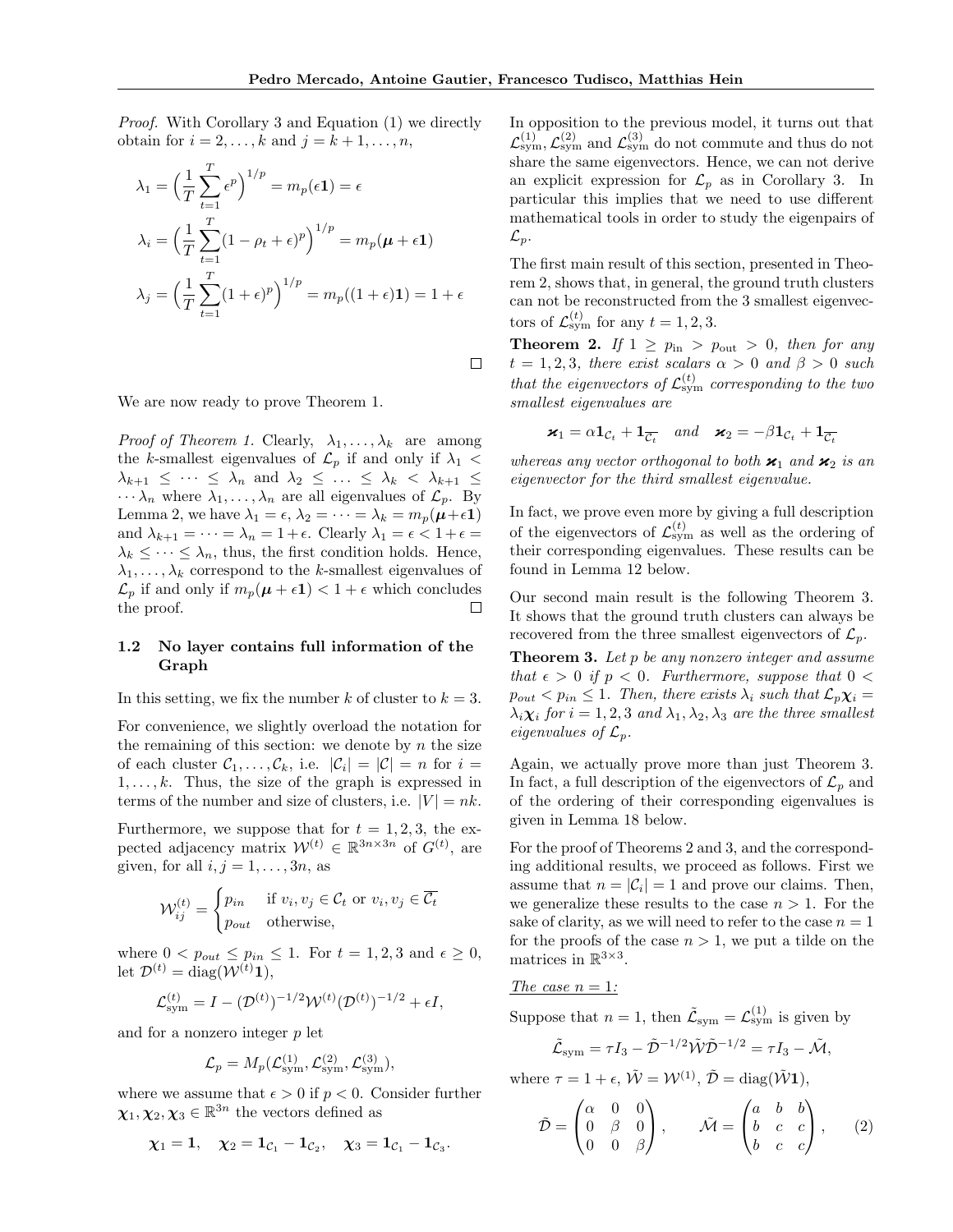$\Box$ 

Proof. With Corollary 3 and Equation (1) we directly obtain for  $i = 2, \ldots, k$  and  $j = k + 1, \ldots, n$ ,

$$
\lambda_1 = \left(\frac{1}{T} \sum_{t=1}^T \epsilon^p\right)^{1/p} = m_p(\epsilon \mathbf{1}) = \epsilon
$$
  

$$
\lambda_i = \left(\frac{1}{T} \sum_{t=1}^T (1 - \rho_t + \epsilon)^p\right)^{1/p} = m_p(\boldsymbol{\mu} + \epsilon \mathbf{1})
$$
  

$$
\lambda_j = \left(\frac{1}{T} \sum_{t=1}^T (1 + \epsilon)^p\right)^{1/p} = m_p((1 + \epsilon) \mathbf{1}) = 1 + \epsilon
$$

We are now ready to prove Theorem 1.

*Proof of Theorem 1.* Clearly,  $\lambda_1, \ldots, \lambda_k$  are among the k-smallest eigenvalues of  $\mathcal{L}_p$  if and only if  $\lambda_1$  <  $\lambda_{k+1} \leq \cdots \leq \lambda_n$  and  $\lambda_2 \leq \ldots \leq \lambda_k < \lambda_{k+1} \leq$  $\cdots \lambda_n$  where  $\lambda_1, \ldots, \lambda_n$  are all eigenvalues of  $\mathcal{L}_p$ . By Lemma 2, we have  $\lambda_1 = \epsilon$ ,  $\lambda_2 = \cdots = \lambda_k = m_p(\mu + \epsilon 1)$ and  $\lambda_{k+1} = \cdots = \lambda_n = 1 + \epsilon$ . Clearly  $\lambda_1 = \epsilon < 1 + \epsilon =$  $\lambda_k \leq \cdots \leq \lambda_n$ , thus, the first condition holds. Hence,  $\lambda_1, \ldots, \lambda_k$  correspond to the k-smallest eigenvalues of  $\mathcal{L}_p$  if and only if  $m_p(\mu + \epsilon \mathbf{1}) < 1 + \epsilon$  which concludes the proof. □

#### 1.2 No layer contains full information of the Graph

In this setting, we fix the number k of cluster to  $k = 3$ .

For convenience, we slightly overload the notation for the remaining of this section: we denote by  $n$  the size of each cluster  $C_1, \ldots, C_k$ , i.e.  $|\mathcal{C}_i| = |\mathcal{C}| = n$  for  $i =$  $1, \ldots, k$ . Thus, the size of the graph is expressed in terms of the number and size of clusters, i.e.  $|V| = nk$ .

Furthermore, we suppose that for  $t = 1, 2, 3$ , the expected adjacency matrix  $\mathcal{W}^{(t)} \in \mathbb{R}^{3n \times 3n}$  of  $G^{(t)}$ , are given, for all  $i, j = 1, \ldots, 3n$ , as

$$
\mathcal{W}_{ij}^{(t)} = \begin{cases} p_{in} & \text{if } v_i, v_j \in \mathcal{C}_t \text{ or } v_i, v_j \in \overline{\mathcal{C}_t} \\ p_{out} & \text{otherwise,} \end{cases}
$$

where  $0 < p_{out} \leq p_{in} \leq 1$ . For  $t = 1, 2, 3$  and  $\epsilon \geq 0$ , let  $\mathcal{D}^{(t)} = \text{diag}(\mathcal{W}^{(t)}\mathbf{1}),$ 

$$
\mathcal{L}_{sym}^{(t)} = I - (\mathcal{D}^{(t)})^{-1/2} \mathcal{W}^{(t)} (\mathcal{D}^{(t)})^{-1/2} + \epsilon I,
$$

and for a nonzero integer p let

$$
\mathcal{L}_p = M_p(\mathcal{L}_{\text{sym}}^{(1)}, \mathcal{L}_{\text{sym}}^{(2)}, \mathcal{L}_{\text{sym}}^{(3)}),
$$

where we assume that  $\epsilon > 0$  if  $p < 0$ . Consider further  $\chi_1, \chi_2, \chi_3 \in \mathbb{R}^{3n}$  the vectors defined as

$$
\chi_1=\mathbf{1},\quad \chi_2=\mathbf{1}_{\mathcal{C}_1}-\mathbf{1}_{\mathcal{C}_2},\quad \chi_3=\mathbf{1}_{\mathcal{C}_1}-\mathbf{1}_{\mathcal{C}_3}.
$$

In opposition to the previous model, it turns out that  $\mathcal{L}^{(1)}_{sym}, \mathcal{L}^{(2)}_{sym}$  and  $\mathcal{L}^{(3)}_{sym}$  do not commute and thus do not share the same eigenvectors. Hence, we can not derive an explicit expression for  $\mathcal{L}_p$  as in Corollary 3. In particular this implies that we need to use different mathematical tools in order to study the eigenpairs of  $\mathcal{L}_p$ .

The first main result of this section, presented in Theorem 2, shows that, in general, the ground truth clusters can not be reconstructed from the 3 smallest eigenvectors of  $\mathcal{L}^{(t)}_{sym}$  for any  $t = 1, 2, 3$ .

**Theorem 2.** If  $1 \ge p_{\text{in}} > p_{\text{out}} > 0$ , then for any  $t = 1, 2, 3$ , there exist scalars  $\alpha > 0$  and  $\beta > 0$  such that the eigenvectors of  $\mathcal{L}^{(t)}_{\text{sym}}$  corresponding to the two smallest eigenvalues are

$$
\mathbf{x}_1 = \alpha \mathbf{1}_{\mathcal{C}_t} + \mathbf{1}_{\overline{\mathcal{C}_t}} \quad and \quad \mathbf{x}_2 = -\beta \mathbf{1}_{\mathcal{C}_t} + \mathbf{1}_{\overline{\mathcal{C}_t}}
$$

whereas any vector orthogonal to both  $\varkappa_1$  and  $\varkappa_2$  is an eigenvector for the third smallest eigenvalue.

In fact, we prove even more by giving a full description of the eigenvectors of  $\mathcal{L}^{(t)}_{sym}$  as well as the ordering of their corresponding eigenvalues. These results can be found in Lemma 12 below.

Our second main result is the following Theorem 3. It shows that the ground truth clusters can always be recovered from the three smallest eigenvectors of  $\mathcal{L}_n$ .

**Theorem 3.** Let  $p$  be any nonzero integer and assume that  $\epsilon > 0$  if  $p < 0$ . Furthermore, suppose that  $0 <$  $p_{out} < p_{in} \leq 1$ . Then, there exists  $\lambda_i$  such that  $\mathcal{L}_p \chi_i =$  $\lambda_i \chi_i$  for  $i = 1, 2, 3$  and  $\lambda_1, \lambda_2, \lambda_3$  are the three smallest eigenvalues of  $\mathcal{L}_p$ .

Again, we actually prove more than just Theorem 3. In fact, a full description of the eigenvectors of  $\mathcal{L}_p$  and of the ordering of their corresponding eigenvalues is given in Lemma 18 below.

For the proof of Theorems 2 and 3, and the corresponding additional results, we proceed as follows. First we assume that  $n = |\mathcal{C}_i| = 1$  and prove our claims. Then, we generalize these results to the case  $n > 1$ . For the sake of clarity, as we will need to refer to the case  $n = 1$ for the proofs of the case  $n > 1$ , we put a tilde on the matrices in  $\mathbb{R}^{3\times 3}$ .

The case  $n = 1$ :

Suppose that  $n = 1$ , then  $\tilde{\mathcal{L}}_{sym} = \mathcal{L}_{sym}^{(1)}$  is given by

$$
\tilde{\mathcal{L}}_{sym} = \tau I_3 - \tilde{\mathcal{D}}^{-1/2} \tilde{\mathcal{W}} \tilde{\mathcal{D}}^{-1/2} = \tau I_3 - \tilde{\mathcal{M}},
$$

where  $\tau = 1 + \epsilon$ ,  $\tilde{\mathcal{W}} = \mathcal{W}^{(1)}$ ,  $\tilde{\mathcal{D}} = \text{diag}(\tilde{\mathcal{W}} \mathbf{1})$ ,

$$
\tilde{\mathcal{D}} = \begin{pmatrix} \alpha & 0 & 0 \\ 0 & \beta & 0 \\ 0 & 0 & \beta \end{pmatrix}, \qquad \tilde{\mathcal{M}} = \begin{pmatrix} a & b & b \\ b & c & c \\ b & c & c \end{pmatrix}, \qquad (2)
$$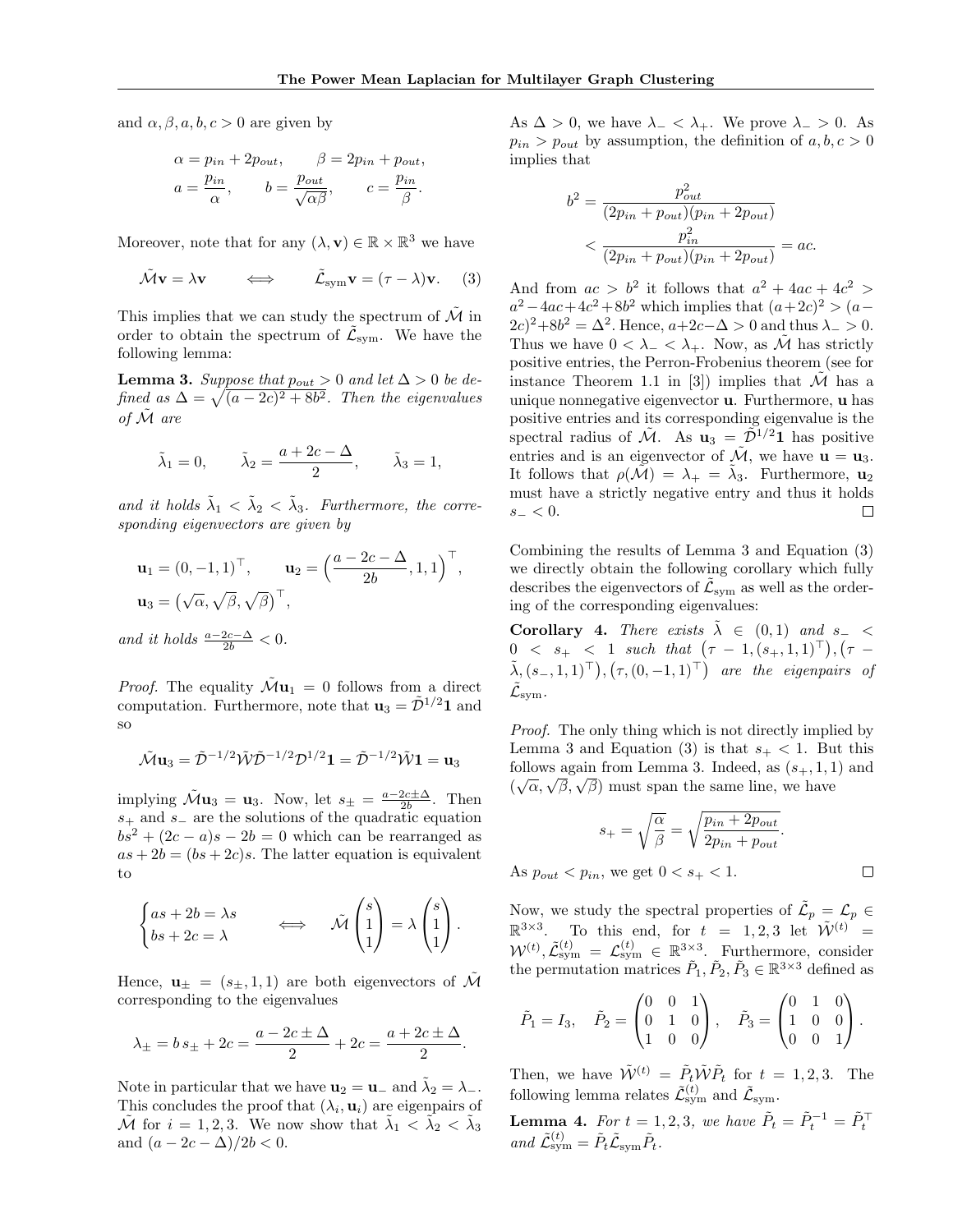and  $\alpha$ ,  $\beta$ ,  $a$ ,  $b$ ,  $c > 0$  are given by

$$
\alpha = p_{in} + 2p_{out}, \qquad \beta = 2p_{in} + p_{out},
$$
  

$$
a = \frac{p_{in}}{\alpha}, \qquad b = \frac{p_{out}}{\sqrt{\alpha \beta}}, \qquad c = \frac{p_{in}}{\beta}.
$$

Moreover, note that for any  $(\lambda, \mathbf{v}) \in \mathbb{R} \times \mathbb{R}^3$  we have

$$
\tilde{\mathcal{M}}\mathbf{v} = \lambda \mathbf{v} \qquad \Longleftrightarrow \qquad \tilde{\mathcal{L}}_{\text{sym}}\mathbf{v} = (\tau - \lambda)\mathbf{v}. \tag{3}
$$

This implies that we can study the spectrum of  $\mathcal M$  in order to obtain the spectrum of  $\tilde{\mathcal{L}}_{sym}$ . We have the following lemma:

**Lemma 3.** Suppose that  $p_{out} > 0$  and let  $\Delta > 0$  be defined as  $\Delta = \sqrt{(a-2c)^2 + 8b^2}$ . Then the eigenvalues of  $\tilde{\mathcal{M}}$  are

$$
\tilde{\lambda}_1 = 0,
$$
  $\tilde{\lambda}_2 = \frac{a + 2c - \Delta}{2},$   $\tilde{\lambda}_3 = 1,$ 

and it holds  $\tilde{\lambda}_1 < \tilde{\lambda}_2 < \tilde{\lambda}_3$ . Furthermore, the corresponding eigenvectors are given by

$$
\mathbf{u}_1 = (0, -1, 1)^\top, \qquad \mathbf{u}_2 = \left(\frac{a - 2c - \Delta}{2b}, 1, 1\right)^\top, \mathbf{u}_3 = \left(\sqrt{\alpha}, \sqrt{\beta}, \sqrt{\beta}\right)^\top,
$$

and it holds  $\frac{a-2c-\Delta}{2b} < 0$ .

*Proof.* The equality  $\tilde{\mathcal{M}}\mathbf{u}_1 = 0$  follows from a direct computation. Furthermore, note that  $\mathbf{u}_3 = \tilde{\mathcal{D}}^{1/2} \mathbf{1}$  and so

$$
\tilde{\mathcal{M}}\mathbf{u}_3 = \tilde{\mathcal{D}}^{-1/2}\tilde{\mathcal{W}}\tilde{\mathcal{D}}^{-1/2}\mathcal{D}^{1/2}\mathbf{1} = \tilde{\mathcal{D}}^{-1/2}\tilde{\mathcal{W}}\mathbf{1} = \mathbf{u}_3
$$

implying  $\mathcal{\tilde{M}}\mathbf{u}_3 = \mathbf{u}_3$ . Now, let  $s_{\pm} = \frac{a - 2c \pm \Delta}{2b}$ . Then  $s_{+}$  and  $s_{-}$  are the solutions of the quadratic equation  $bs^2 + (2c - a)s - 2b = 0$  which can be rearranged as  $as + 2b = (bs + 2c)s$ . The latter equation is equivalent to

$$
\begin{cases} as + 2b = \lambda s \\ bs + 2c = \lambda \end{cases} \iff \tilde{\mathcal{M}} \begin{pmatrix} s \\ 1 \\ 1 \end{pmatrix} = \lambda \begin{pmatrix} s \\ 1 \\ 1 \end{pmatrix}.
$$

Hence,  $\mathbf{u}_{\pm} = (s_{\pm}, 1, 1)$  are both eigenvectors of M corresponding to the eigenvalues

$$
\lambda_{\pm} = b s_{\pm} + 2c = \frac{a - 2c \pm \Delta}{2} + 2c = \frac{a + 2c \pm \Delta}{2}.
$$

Note in particular that we have  $\mathbf{u}_2 = \mathbf{u}_-$  and  $\tilde{\lambda}_2 = \lambda_-$ . This concludes the proof that  $(\lambda_i, \mathbf{u}_i)$  are eigenpairs of  $\tilde{\mathcal{M}}$  for  $i = 1, 2, 3$ . We now show that  $\tilde{\lambda}_1 \leq \tilde{\lambda}_2 < \tilde{\lambda}_3$ and  $(a - 2c - \Delta)/2b < 0$ .

As  $\Delta > 0$ , we have  $\lambda_{-} < \lambda_{+}$ . We prove  $\lambda_{-} > 0$ . As  $p_{in} > p_{out}$  by assumption, the definition of  $a, b, c > 0$ implies that

$$
b^{2} = \frac{p_{out}^{2}}{(2p_{in} + p_{out})(p_{in} + 2p_{out})}
$$

$$
< \frac{p_{in}^{2}}{(2p_{in} + p_{out})(p_{in} + 2p_{out})} = ac.
$$

And from  $ac > b^2$  it follows that  $a^2 + 4ac + 4c^2 >$  $a^2 - 4ac + 4c^2 + 8b^2$  which implies that  $(a+2c)^2 > (a (2c)^2 + 8b^2 = \Delta^2$ . Hence,  $a+2c-\Delta > 0$  and thus  $\lambda > 0$ . Thus we have  $0 < \lambda_{-} < \lambda_{+}$ . Now, as  $\tilde{\mathcal{M}}$  has strictly positive entries, the Perron-Frobenius theorem (see for instance Theorem 1.1 in [3]) implies that  $\mathcal M$  has a unique nonnegative eigenvector u. Furthermore, u has positive entries and its corresponding eigenvalue is the spectral radius of  $\tilde{\mathcal{M}}$ . As  $\mathbf{u}_3 = \tilde{\mathcal{D}}^{1/2} \mathbf{1}$  has positive entries and is an eigenvector of  $\tilde{\mathcal{M}}$ , we have  $\mathbf{u} = \mathbf{u}_3$ . It follows that  $\rho(\tilde{\mathcal{M}}) = \lambda_+ = \tilde{\lambda}_3$ . Furthermore,  $\mathbf{u}_2$ must have a strictly negative entry and thus it holds  $s_{-}<0.$ П

Combining the results of Lemma 3 and Equation (3) we directly obtain the following corollary which fully describes the eigenvectors of  $\tilde{\mathcal{L}}_{\mathrm{sym}}$  as well as the ordering of the corresponding eigenvalues:

Corollary 4. There exists  $\lambda \in (0,1)$  and  $s_-\leq$  $0 \leq s_+ \leq 1$  such that  $(\tau - 1, (s_+, 1, 1)^\top), (\tau (\tilde{\lambda}, (s_-, 1, 1)^{\top}), (\tau, (0, -1, 1)^{\top})$  are the eigenpairs of  $\mathcal{\tilde L}_\mathrm{sym}.$ 

Proof. The only thing which is not directly implied by Lemma 3 and Equation (3) is that  $s_{+} < 1$ . But this follows again from Lemma 3. Indeed, as  $(s_+, 1, 1)$  and follows again from Lemma 5. malled, as  $(s_+, 1, 1)$ <br> $(\sqrt{\alpha}, \sqrt{\beta}, \sqrt{\beta})$  must span the same line, we have

$$
s_{+} = \sqrt{\frac{\alpha}{\beta}} = \sqrt{\frac{p_{in} + 2p_{out}}{2p_{in} + p_{out}}}.
$$
  

$$
s_{+} < p_{in}, \text{ we get } 0 < s_{+} < 1.
$$

As  $p_{out} < p_{in}$ , we get  $0 < s_{+} < 1$ .

Now, we study the spectral properties of  $\tilde{\mathcal{L}}_p = \mathcal{L}_p \in$  $\mathbb{R}^{3\times3}$ . To this end, for  $t = 1, 2, 3$  let  $\mathcal{\tilde{W}}^{(t)}$  =  $W^{(t)}, \tilde{\mathcal{L}}_{\text{sym}}^{(t)} = \mathcal{L}_{\text{sym}}^{(t)} \in \mathbb{R}^{3 \times 3}$ . Furthermore, consider the permutation matrices  $\tilde{P}_1, \tilde{P}_2, \tilde{P}_3 \in \mathbb{R}^{3 \times 3}$  defined as

$$
\tilde{P}_1 = I_3, \quad \tilde{P}_2 = \begin{pmatrix} 0 & 0 & 1 \\ 0 & 1 & 0 \\ 1 & 0 & 0 \end{pmatrix}, \quad \tilde{P}_3 = \begin{pmatrix} 0 & 1 & 0 \\ 1 & 0 & 0 \\ 0 & 0 & 1 \end{pmatrix}.
$$

Then, we have  $\tilde{\mathcal{W}}^{(t)} = \tilde{P}_t \tilde{\mathcal{W}} \tilde{P}_t$  for  $t = 1, 2, 3$ . The following lemma relates  $\tilde{\mathcal{L}}_{\text{sym}}^{(t)}$  and  $\tilde{\mathcal{L}}_{\text{sym}}$ .

**Lemma 4.** For  $t = 1, 2, 3$ , we have  $\tilde{P}_t = \tilde{P}_t^{-1} = \tilde{P}_t^{-1}$ and  $\tilde{\mathcal{L}}_{sym}^{(t)} = \tilde{P}_t \tilde{\mathcal{L}}_{sym} \tilde{P}_t$ .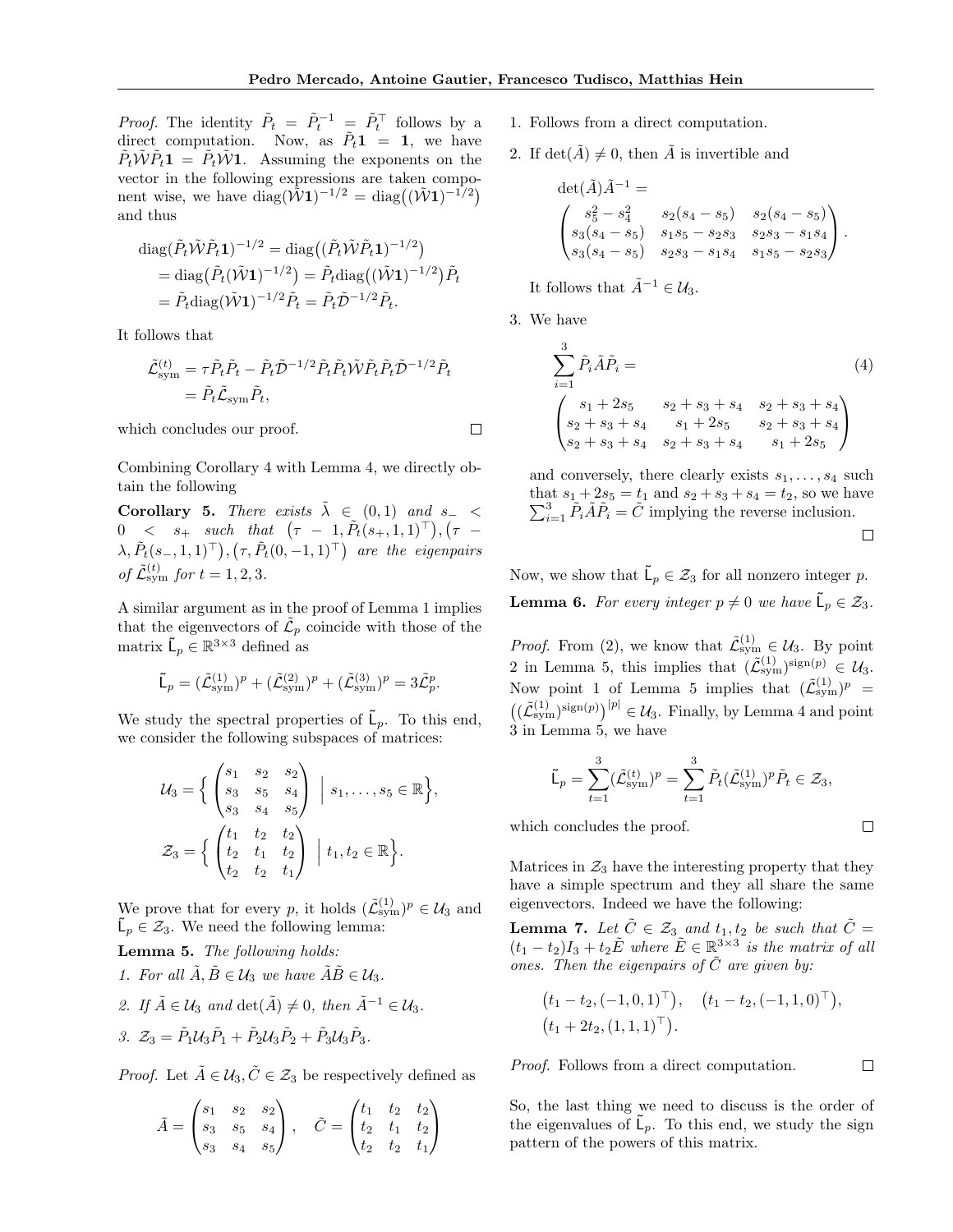$\Box$ 

*Proof.* The identity  $\tilde{P}_t = \tilde{P}_t^{-1} = \tilde{P}_t^{\top}$  follows by a direct computation. Now, as  $\tilde{P}_t \mathbf{1} = \mathbf{1}$ , we have  $\tilde{P}_t \tilde{W} \tilde{P}_t \mathbf{1} = \tilde{P}_t \tilde{W} \mathbf{1}$ . Assuming the exponents on the vector in the following expressions are taken component wise, we have  $\text{diag}(\tilde{\mathcal{W}} \mathbf{1})^{-1/2} = \text{diag}((\tilde{\mathcal{W}} \mathbf{1})^{-1/2})$ and thus

diag
$$
(\tilde{P}_t \tilde{W} \tilde{P}_t \mathbf{1})^{-1/2}
$$
 = diag $((\tilde{P}_t \tilde{W} \tilde{P}_t \mathbf{1})^{-1/2})$   
= diag $(\tilde{P}_t (\tilde{W} \mathbf{1})^{-1/2})$  =  $\tilde{P}_t$ diag $((\tilde{W} \mathbf{1})^{-1/2}) \tilde{P}_t$   
=  $\tilde{P}_t$ diag $(\tilde{W} \mathbf{1})^{-1/2} \tilde{P}_t$  =  $\tilde{P}_t \tilde{D}^{-1/2} \tilde{P}_t$ .

It follows that

$$
\begin{split} \tilde{\mathcal{L}}_{\text{sym}}^{(t)} &= \tau \tilde{P}_t \tilde{P}_t - \tilde{P}_t \tilde{\mathcal{D}}^{-1/2} \tilde{P}_t \tilde{P}_t \tilde{\mathcal{W}} \tilde{P}_t \tilde{P}_t \tilde{\mathcal{D}}^{-1/2} \tilde{P}_t \\ &= \tilde{P}_t \tilde{\mathcal{L}}_{\text{sym}} \tilde{P}_t, \end{split}
$$

which concludes our proof.

Combining Corollary 4 with Lemma 4, we directly obtain the following

Corollary 5. There exists  $\lambda \in (0,1)$  and  $s_-\leq$  $0 \quad < \quad s_+ \quad such \quad that \quad (\tau \; - \; 1, \tilde{P}_t(s_+,1,1)^\top) \, , (\tau \; - \;$  $\lambda, \tilde{P}_t(s_-, 1, 1)^\top$ ,  $(\tau, \tilde{P}_t(0, -1, 1)^\top)$  are the eigenpairs of  $\tilde{\mathcal{L}}_{sym}^{(t)}$  for  $t = 1, 2, 3$ .

A similar argument as in the proof of Lemma 1 implies that the eigenvectors of  $\tilde{\mathcal{L}}_p$  coincide with those of the matrix  $\mathsf{L}_p \in \mathbb{R}^{3 \times 3}$  defined as

$$
\widetilde{\mathsf{L}}_p = (\widetilde{\mathcal{L}}_{sym}^{(1)})^p + (\widetilde{\mathcal{L}}_{sym}^{(2)})^p + (\widetilde{\mathcal{L}}_{sym}^{(3)})^p = 3\widetilde{\mathcal{L}}_p^p.
$$

We study the spectral properties of  $\tilde{\mathsf{L}}_p$ . To this end, we consider the following subspaces of matrices:

$$
\mathcal{U}_3 = \Big\{ \begin{pmatrix} s_1 & s_2 & s_2 \\ s_3 & s_5 & s_4 \\ s_3 & s_4 & s_5 \end{pmatrix} \; \Big| \; s_1, \ldots, s_5 \in \mathbb{R} \Big\},
$$
  

$$
\mathcal{Z}_3 = \Big\{ \begin{pmatrix} t_1 & t_2 & t_2 \\ t_2 & t_1 & t_2 \\ t_2 & t_2 & t_1 \end{pmatrix} \; \Big| \; t_1, t_2 \in \mathbb{R} \Big\}.
$$

We prove that for every p, it holds  $(\tilde{\mathcal{L}}_{sym}^{(1)})^p \in \mathcal{U}_3$  and  $\tilde{\mathsf{L}}_p \in \mathcal{Z}_3$ . We need the following lemma:

Lemma 5. The following holds:

- 1. For all  $\tilde{A}, \tilde{B} \in \mathcal{U}_3$  we have  $\tilde{A}\tilde{B} \in \mathcal{U}_3$ .
- 2. If  $\tilde{A} \in \mathcal{U}_3$  and  $\det(\tilde{A}) \neq 0$ , then  $\tilde{A}^{-1} \in \mathcal{U}_3$ .

$$
\mathcal{Z}_3 = \tilde{P}_1 \mathcal{U}_3 \tilde{P}_1 + \tilde{P}_2 \mathcal{U}_3 \tilde{P}_2 + \tilde{P}_3 \mathcal{U}_3 \tilde{P}_3.
$$

*Proof.* Let  $\tilde{A} \in \mathcal{U}_3, \tilde{C} \in \mathcal{Z}_3$  be respectively defined as

$$
\tilde{A} = \begin{pmatrix} s_1 & s_2 & s_2 \\ s_3 & s_5 & s_4 \\ s_3 & s_4 & s_5 \end{pmatrix}, \quad \tilde{C} = \begin{pmatrix} t_1 & t_2 & t_2 \\ t_2 & t_1 & t_2 \\ t_2 & t_2 & t_1 \end{pmatrix}
$$

- 1. Follows from a direct computation.
- 2. If  $\det(\tilde{A}) \neq 0$ , then  $\tilde{A}$  is invertible and

$$
\det(\tilde{A})\tilde{A}^{-1} =
$$
\n
$$
\begin{pmatrix}\ns_5^2 - s_4^2 & s_2(s_4 - s_5) & s_2(s_4 - s_5) \\
s_3(s_4 - s_5) & s_1s_5 - s_2s_3 & s_2s_3 - s_1s_4 \\
s_3(s_4 - s_5) & s_2s_3 - s_1s_4 & s_1s_5 - s_2s_3\n\end{pmatrix}.
$$

It follows that  $\tilde{A}^{-1} \in \mathcal{U}_3$ .

3. We have

$$
\sum_{i=1}^{3} \tilde{P}_{i} \tilde{A} \tilde{P}_{i} =
$$
\n
$$
\begin{pmatrix}\ns_1 + 2s_5 & s_2 + s_3 + s_4 & s_2 + s_3 + s_4 \\
s_2 + s_3 + s_4 & s_1 + 2s_5 & s_2 + s_3 + s_4 \\
s_2 + s_3 + s_4 & s_2 + s_3 + s_4 & s_1 + 2s_5\n\end{pmatrix}
$$
\n(4)

and conversely, there clearly exists  $s_1, \ldots, s_4$  such that  $s_1 + 2s_5 = t_1$  and  $s_2 + s_3 + s_4 = t_2$ , so we have  $\sum_{i=1}^{3} \tilde{P}_i \tilde{A} \tilde{P}_i = \tilde{C}$  implying the reverse inclusion.  $\Box$ 

Now, we show that  $\tilde{\mathsf{L}}_p \in \mathcal{Z}_3$  for all nonzero integer p. **Lemma 6.** For every integer  $p \neq 0$  we have  $\tilde{\mathsf{L}}_p \in \mathcal{Z}_3$ .

*Proof.* From (2), we know that  $\tilde{\mathcal{L}}_{sym}^{(1)} \in \mathcal{U}_3$ . By point 2 in Lemma 5, this implies that  $(\tilde{\mathcal{L}}_{sym}^{(1)})^{sign(p)} \in \mathcal{U}_3$ . Now point 1 of Lemma 5 implies that  $(\tilde{\mathcal{L}}_{sym}^{(1)})^p =$  $((\tilde{\mathcal{L}}_{sym}^{(1)})^{sign(p)})^{|p|} \in \mathcal{U}_3$ . Finally, by Lemma 4 and point 3 in Lemma 5, we have

$$
\tilde{\mathsf{L}}_p = \sum_{t=1}^3 (\tilde{\mathcal{L}}_{\text{sym}}^{(t)})^p = \sum_{t=1}^3 \tilde{P}_t (\tilde{\mathcal{L}}_{\text{sym}}^{(1)})^p \tilde{P}_t \in \mathcal{Z}_3,
$$

 $\Box$ 

 $\Box$ 

which concludes the proof.

Matrices in  $\mathcal{Z}_3$  have the interesting property that they have a simple spectrum and they all share the same eigenvectors. Indeed we have the following:

**Lemma 7.** Let  $\tilde{C} \in \mathcal{Z}_3$  and  $t_1, t_2$  be such that  $\tilde{C} =$  $(t_1-t_2)I_3+t_2\tilde{E}$  where  $\tilde{E} \in \mathbb{R}^{3 \times 3}$  is the matrix of all ones. Then the eigenpairs of  $\tilde{C}$  are given by:

$$
(t_1 - t_2, (-1, 0, 1)^{\top}), (t_1 - t_2, (-1, 1, 0)^{\top}),
$$
  
 $(t_1 + 2t_2, (1, 1, 1)^{\top}).$ 

Proof. Follows from a direct computation.

So, the last thing we need to discuss is the order of the eigenvalues of  $\tilde{\mathsf{L}}_p$ . To this end, we study the sign pattern of the powers of this matrix.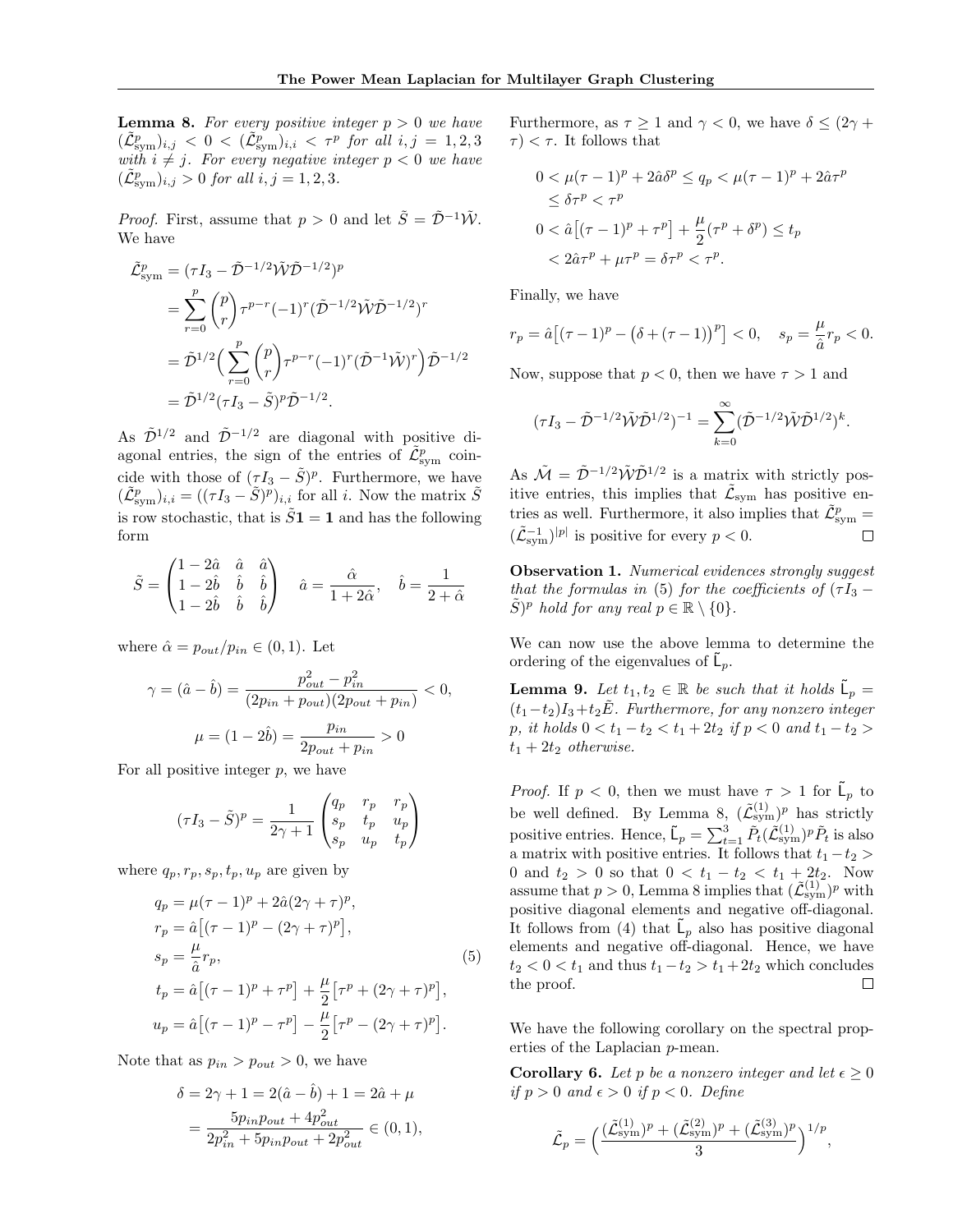**Lemma 8.** For every positive integer  $p > 0$  we have  $(\tilde{\mathcal{L}}_{\text{sym}}^p)_{i,j} \ <\ 0 \ <\ (\tilde{\mathcal{L}}_{\text{sym}}^p)_{i,i} \ <\ \tau^p\ \ \textit{for\ all}\ \ i,j\ =\ 1,2,3$ with  $i \neq j$ . For every negative integer  $p < 0$  we have  $(\tilde{\mathcal{L}}_{sym}^p)_{i,j} > 0$  for all  $i, j = 1, 2, 3$ .

*Proof.* First, assume that  $p > 0$  and let  $\tilde{S} = \tilde{\mathcal{D}}^{-1} \tilde{\mathcal{W}}$ . We have

$$
\tilde{\mathcal{L}}_{\text{sym}}^{p} = (\tau I_{3} - \tilde{\mathcal{D}}^{-1/2} \tilde{\mathcal{W}} \tilde{\mathcal{D}}^{-1/2})^{p}
$$
\n
$$
= \sum_{r=0}^{p} {p \choose r} \tau^{p-r} (-1)^{r} (\tilde{\mathcal{D}}^{-1/2} \tilde{\mathcal{W}} \tilde{\mathcal{D}}^{-1/2})^{r}
$$
\n
$$
= \tilde{\mathcal{D}}^{1/2} \Big( \sum_{r=0}^{p} {p \choose r} \tau^{p-r} (-1)^{r} (\tilde{\mathcal{D}}^{-1} \tilde{\mathcal{W}})^{r} \Big) \tilde{\mathcal{D}}^{-1/2}
$$
\n
$$
= \tilde{\mathcal{D}}^{1/2} (\tau I_{3} - \tilde{\mathcal{S}})^{p} \tilde{\mathcal{D}}^{-1/2}.
$$

As  $\tilde{\mathcal{D}}^{1/2}$  and  $\tilde{\mathcal{D}}^{-1/2}$  are diagonal with positive diagonal entries, the sign of the entries of  $\tilde{\mathcal{L}}_{sym}^p$  coincide with those of  $(\tau I_3 - \tilde{S})^p$ . Furthermore, we have  $(\tilde{\mathcal{L}}_{sym}^p)_{i,i} = ((\tau I_3 - \tilde{S})^p)_{i,i}$  for all i. Now the matrix  $\tilde{S}$ is row stochastic, that is  $\tilde{S}1 = 1$  and has the following form

$$
\tilde{S} = \begin{pmatrix} 1 - 2\hat{a} & \hat{a} & \hat{a} \\ 1 - 2\hat{b} & \hat{b} & \hat{b} \\ 1 - 2\hat{b} & \hat{b} & \hat{b} \end{pmatrix} \quad \hat{a} = \frac{\hat{\alpha}}{1 + 2\hat{\alpha}}, \quad \hat{b} = \frac{1}{2 + \hat{\alpha}}
$$

where  $\hat{\alpha} = p_{out}/p_{in} \in (0,1)$ . Let

$$
\gamma = (\hat{a} - \hat{b}) = \frac{p_{out}^2 - p_{in}^2}{(2p_{in} + p_{out})(2p_{out} + p_{in})} < 0,
$$
\n
$$
\mu = (1 - 2\hat{b}) = \frac{p_{in}}{2p_{out} + p_{in}} > 0
$$

For all positive integer  $p$ , we have

$$
(\tau I_3 - \tilde{S})^p = \frac{1}{2\gamma + 1} \begin{pmatrix} q_p & r_p & r_p \\ s_p & t_p & u_p \\ s_p & u_p & t_p \end{pmatrix}
$$

where  $q_p, r_p, s_p, t_p, u_p$  are given by

$$
q_p = \mu(\tau - 1)^p + 2\hat{a}(2\gamma + \tau)^p,
$$
  
\n
$$
r_p = \hat{a} [(\tau - 1)^p - (2\gamma + \tau)^p],
$$
  
\n
$$
s_p = \frac{\mu}{\hat{a}} r_p,
$$
  
\n
$$
t_p = \hat{a} [(\tau - 1)^p + \tau^p] + \frac{\mu}{2} [\tau^p + (2\gamma + \tau)^p],
$$
  
\n
$$
u_p = \hat{a} [(\tau - 1)^p - \tau^p] - \frac{\mu}{2} [\tau^p - (2\gamma + \tau)^p].
$$
\n(S)

Note that as  $p_{in} > p_{out} > 0$ , we have

$$
\delta = 2\gamma + 1 = 2(\hat{a} - \hat{b}) + 1 = 2\hat{a} + \mu
$$
  
= 
$$
\frac{5p_{in}p_{out} + 4p_{out}^2}{2p_{in}^2 + 5p_{in}p_{out} + 2p_{out}^2} \in (0, 1),
$$

Furthermore, as  $\tau \geq 1$  and  $\gamma < 0$ , we have  $\delta \leq (2\gamma +$  $\tau$   $<$   $\tau$ . It follows that

$$
0 < \mu(\tau - 1)^p + 2\hat{a}\delta^p \le q_p < \mu(\tau - 1)^p + 2\hat{a}\tau^p
$$
\n
$$
\le \delta\tau^p < \tau^p
$$
\n
$$
0 < \hat{a}\left[ (\tau - 1)^p + \tau^p \right] + \frac{\mu}{2} (\tau^p + \delta^p) \le t_p
$$
\n
$$
< 2\hat{a}\tau^p + \mu\tau^p = \delta\tau^p < \tau^p.
$$

Finally, we have

$$
r_p = \hat{a} \left[ (\tau - 1)^p - (\delta + (\tau - 1))^p \right] < 0, \quad s_p = \frac{\mu}{\hat{a}} r_p < 0.
$$

Now, suppose that  $p < 0$ , then we have  $\tau > 1$  and

$$
(\tau I_3 - \tilde{\mathcal{D}}^{-1/2} \tilde{\mathcal{W}} \tilde{\mathcal{D}}^{1/2})^{-1} = \sum_{k=0}^{\infty} (\tilde{\mathcal{D}}^{-1/2} \tilde{\mathcal{W}} \tilde{\mathcal{D}}^{1/2})^k.
$$

As  $\tilde{\mathcal{M}} = \tilde{\mathcal{D}}^{-1/2} \tilde{\mathcal{W}} \tilde{\mathcal{D}}^{1/2}$  is a matrix with strictly positive entries, this implies that  $\tilde{\mathcal{L}}_{sym}$  has positive entries as well. Furthermore, it also implies that  $\tilde{\mathcal{L}}_{\text{sym}}^p =$  $(\tilde{\mathcal{L}}_{sym}^{-1})^{|p|}$  is positive for every  $p < 0$ .  $\Box$ 

Observation 1. Numerical evidences strongly suggest that the formulas in (5) for the coefficients of  $(\tau I_3 \tilde{S})^p$  hold for any real  $p \in \mathbb{R} \setminus \{0\}.$ 

We can now use the above lemma to determine the ordering of the eigenvalues of  $\tilde{\mathsf{L}}_p$ .

**Lemma 9.** Let  $t_1, t_2 \in \mathbb{R}$  be such that it holds  $\tilde{\mathsf{L}}_p =$  $(t_1-t_2)I_3+t_2\tilde{E}$ . Furthermore, for any nonzero integer p, it holds  $0 < t_1 - t_2 < t_1 + 2t_2$  if  $p < 0$  and  $t_1 - t_2 >$  $t_1 + 2t_2$  otherwise.

*Proof.* If  $p < 0$ , then we must have  $\tau > 1$  for  $\tilde{\mathsf{L}}_p$  to be well defined. By Lemma 8,  $(\tilde{\mathcal{L}}_{sym}^{(1)})^p$  has strictly positive entries. Hence,  $\tilde{\mathsf{L}}_p = \sum_{t=1}^3 \tilde{P}_t(\tilde{\mathcal{L}}_{\text{sym}}^{(1)})^p \tilde{P}_t$  is also a matrix with positive entries. It follows that  $t_1 - t_2 >$ 0 and  $t_2 > 0$  so that  $0 < t_1 - t_2 < t_1 + 2t_2$ . Now assume that  $p > 0$ , Lemma 8 implies that  $(\tilde{\mathcal{L}}_{sym}^{(1)})^p$  with positive diagonal elements and negative off-diagonal. It follows from (4) that  $\tilde{\mathsf{L}}_p$  also has positive diagonal elements and negative off-diagonal. Hence, we have  $t_2 < 0 < t_1$  and thus  $t_1 - t_2 > t_1 + 2t_2$  which concludes the proof.  $\Box$ 

We have the following corollary on the spectral properties of the Laplacian p-mean.

**Corollary 6.** Let p be a nonzero integer and let  $\epsilon \geq 0$ if  $p > 0$  and  $\epsilon > 0$  if  $p < 0$ . Define

$$
\tilde{\mathcal{L}}_p = \Big(\frac{(\tilde{\mathcal{L}}_{\text{sym}}^{(1)})^p + (\tilde{\mathcal{L}}_{\text{sym}}^{(2)})^p + (\tilde{\mathcal{L}}_{\text{sym}}^{(3)})^p}{3}\Big)^{1/p},
$$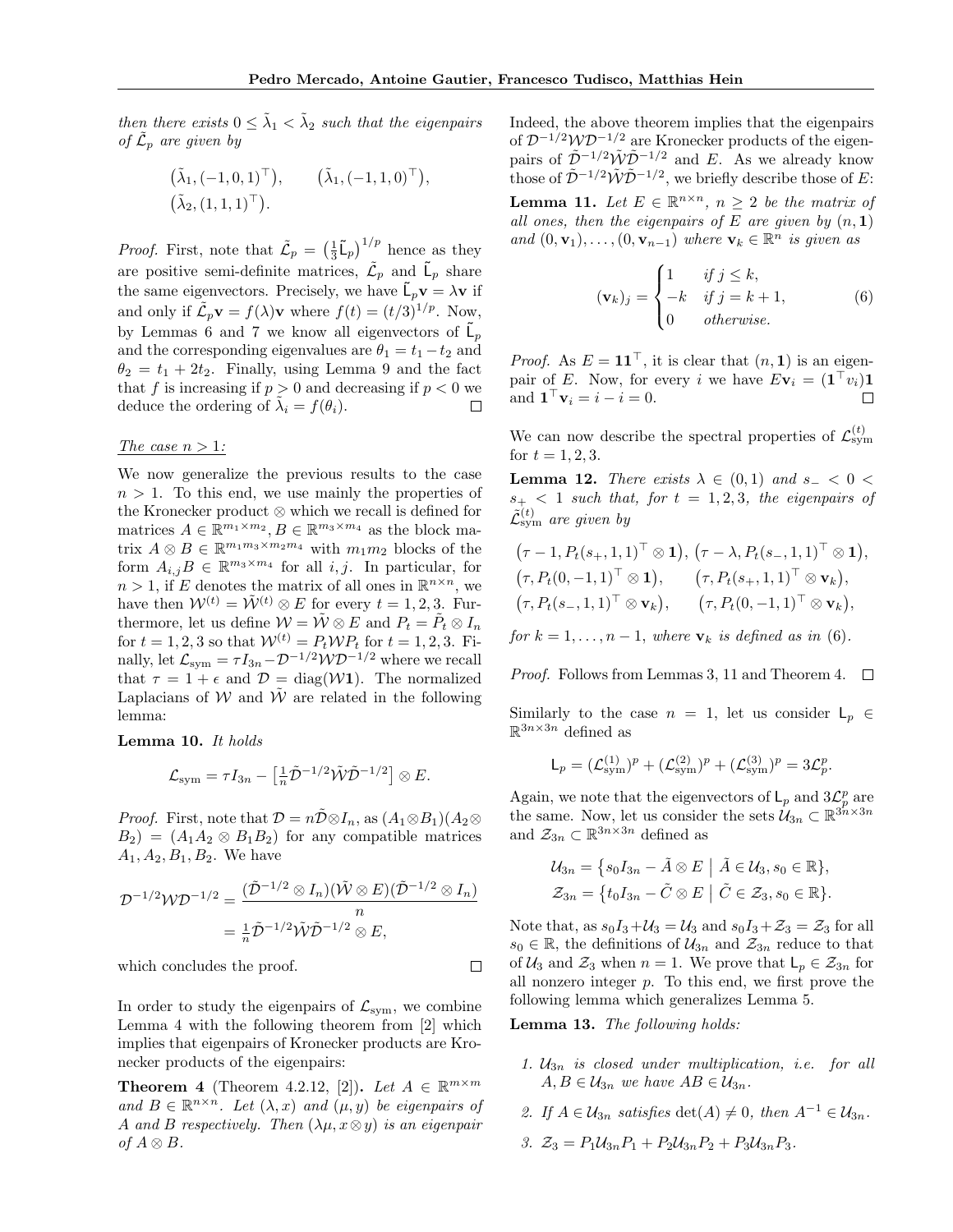then there exists  $0 \leq \tilde{\lambda}_1 < \tilde{\lambda}_2$  such that the eigenpairs of  $\tilde{\mathcal{L}}_p$  are given by

$$
(\tilde{\lambda}_1, (-1, 0, 1)^{\top}), \qquad (\tilde{\lambda}_1, (-1, 1, 0)^{\top}),
$$
  
 $(\tilde{\lambda}_2, (1, 1, 1)^{\top}).$ 

*Proof.* First, note that  $\tilde{\mathcal{L}}_p = \left(\frac{1}{3}\tilde{\mathsf{L}}_p\right)^{1/p}$  hence as they are positive semi-definite matrices,  $\tilde{\mathcal{L}}_p$  and  $\tilde{\mathsf{L}}_p$  share the same eigenvectors. Precisely, we have  $\tilde{\mathsf{L}}_p \mathbf{v} = \lambda \mathbf{v}$  if and only if  $\tilde{\mathcal{L}}_p \mathbf{v} = f(\lambda) \mathbf{v}$  where  $f(t) = (t/3)^{1/p}$ . Now, by Lemmas 6 and 7 we know all eigenvectors of  $\tilde{\mathsf{L}}_p$ and the corresponding eigenvalues are  $\theta_1 = t_1 - t_2$  and  $\theta_2 = t_1 + 2t_2$ . Finally, using Lemma 9 and the fact that f is increasing if  $p > 0$  and decreasing if  $p < 0$  we deduce the ordering of  $\tilde{\lambda}_i = f(\theta_i)$ . П

#### The case  $n > 1$ :

We now generalize the previous results to the case  $n > 1$ . To this end, we use mainly the properties of the Kronecker product ⊗ which we recall is defined for matrices  $A \in \mathbb{R}^{m_1 \times m_2}, B \in \mathbb{R}^{m_3 \times m_4}$  as the block matrix  $A \otimes B \in \mathbb{R}^{m_1 m_3 \times m_2 m_4}$  with  $m_1 m_2$  blocks of the form  $A_{i,j}B \in \mathbb{R}^{m_3 \times m_4}$  for all  $i, j$ . In particular, for  $n > 1$ , if E denotes the matrix of all ones in  $\mathbb{R}^{n \times n}$ , we have then  $\mathcal{W}^{(t)} = \tilde{\mathcal{W}}^{(t)} \otimes E$  for every  $t = 1, 2, 3$ . Furthermore, let us define  $\mathcal{W} = \tilde{\mathcal{W}} \otimes E$  and  $P_t = \tilde{P}_t \otimes I_n$ for  $t = 1, 2, 3$  so that  $W^{(t)} = P_t W P_t$  for  $t = 1, 2, 3$ . Finally, let  $\mathcal{L}_{\text{sym}} = \tau I_{3n} - \mathcal{D}^{-1/2} \mathcal{W} \mathcal{D}^{-1/2}$  where we recall that  $\tau = 1 + \epsilon$  and  $\mathcal{D} = \text{diag}(\mathcal{W}1)$ . The normalized Laplacians of W and  $\tilde{W}$  are related in the following lemma:

#### Lemma 10. It holds

$$
\mathcal{L}_{\text{sym}} = \tau I_{3n} - \left[\frac{1}{n}\tilde{\mathcal{D}}^{-1/2}\tilde{\mathcal{W}}\tilde{\mathcal{D}}^{-1/2}\right] \otimes E.
$$

*Proof.* First, note that  $\mathcal{D} = n\overline{\mathcal{D}} \otimes I_n$ , as  $(A_1 \otimes B_1)(A_2 \otimes I_n)$  $B_2$ ) =  $(A_1A_2 \otimes B_1B_2)$  for any compatible matrices  $A_1, A_2, B_1, B_2$ . We have

$$
\mathcal{D}^{-1/2}\mathcal{W}\mathcal{D}^{-1/2} = \frac{(\tilde{\mathcal{D}}^{-1/2} \otimes I_n)(\tilde{\mathcal{W}} \otimes E)(\tilde{\mathcal{D}}^{-1/2} \otimes I_n)}{n}
$$
  
=  $\frac{1}{n}\tilde{\mathcal{D}}^{-1/2}\tilde{\mathcal{W}}\tilde{\mathcal{D}}^{-1/2} \otimes E$ ,

which concludes the proof.

In order to study the eigenpairs of  $\mathcal{L}_{sym}$ , we combine Lemma 4 with the following theorem from [2] which implies that eigenpairs of Kronecker products are Kronecker products of the eigenpairs:

**Theorem 4** (Theorem 4.2.12, [2]). Let  $A \in \mathbb{R}^{m \times m}$ and  $B \in \mathbb{R}^{n \times n}$ . Let  $(\lambda, x)$  and  $(\mu, y)$  be eigenpairs of A and B respectively. Then  $(\lambda \mu, x \otimes y)$  is an eigenpair of  $A \otimes B$ .

Indeed, the above theorem implies that the eigenpairs of  $\mathcal{D}^{-1/2}\mathcal{W}\mathcal{D}^{-1/2}$  are Kronecker products of the eigenpairs of  $\tilde{\mathcal{D}}^{-1/2}\tilde{\mathcal{W}}\tilde{\mathcal{D}}^{-1/2}$  and E. As we already know those of  $\tilde{\mathcal{D}}^{-1/2} \tilde{\mathcal{W}} \tilde{\mathcal{D}}^{-1/2}$ , we briefly describe those of E:

**Lemma 11.** Let  $E \in \mathbb{R}^{n \times n}$ ,  $n \geq 2$  be the matrix of all ones, then the eigenpairs of E are given by  $(n, 1)$ and  $(0, \mathbf{v}_1), \ldots, (0, \mathbf{v}_{n-1})$  where  $\mathbf{v}_k \in \mathbb{R}^n$  is given as

$$
(\mathbf{v}_k)_j = \begin{cases} 1 & \text{if } j \le k, \\ -k & \text{if } j = k+1, \\ 0 & \text{otherwise.} \end{cases}
$$
 (6)

*Proof.* As  $E = \mathbf{11}^\top$ , it is clear that  $(n, 1)$  is an eigenpair of E. Now, for every i we have  $E_{\mathbf{V}_i} = (\mathbf{1}^\top v_i) \mathbf{1}$ and  $\mathbf{1}^\top \mathbf{v}_i = i - i = 0$ .  $\Box$ 

We can now describe the spectral properties of  $\mathcal{L}^{(t)}_{sym}$ for  $t = 1, 2, 3$ .

**Lemma 12.** There exists  $\lambda \in (0,1)$  and  $s_-\leq 0$  $s_{+}$  < 1 such that, for  $t = 1, 2, 3$ , the eigenpairs of  $\tilde{\mathcal{L}}^{(t)}_{\text{sym}}$  are given by

$$
(\tau-1, P_t(s_+,1,1)^\top \otimes \mathbf{1}), (\tau-\lambda, P_t(s_-,1,1)^\top \otimes \mathbf{1}),
$$
  
\n
$$
(\tau, P_t(0,-1,1)^\top \otimes \mathbf{1}), (\tau, P_t(s_+,1,1)^\top \otimes \mathbf{v}_k),
$$
  
\n
$$
(\tau, P_t(s_-,1,1)^\top \otimes \mathbf{v}_k), (\tau, P_t(0,-1,1)^\top \otimes \mathbf{v}_k),
$$

for  $k = 1, \ldots, n - 1$ , where  $\mathbf{v}_k$  is defined as in (6).

*Proof.* Follows from Lemmas 3, 11 and Theorem 4.  $\Box$ 

Similarly to the case  $n = 1$ , let us consider  $\mathsf{L}_n \in$  $\mathbb{R}^{3n\times 3n}$  defined as

$$
\mathsf{L}_p = (\mathcal{L}_{sym}^{(1)})^p + (\mathcal{L}_{sym}^{(2)})^p + (\mathcal{L}_{sym}^{(3)})^p = 3\mathcal{L}_p^p.
$$

Again, we note that the eigenvectors of  $\mathsf{L}_p$  and  $3\mathcal{L}_p^p$  are the same. Now, let us consider the sets  $\mathcal{U}_{3n} \subset \mathbb{R}^{3n \times 3n}$ and  $\mathcal{Z}_{3n} \subset \mathbb{R}^{3n \times 3n}$  defined as

$$
\mathcal{U}_{3n} = \{ s_0 I_{3n} - \tilde{A} \otimes E \mid \tilde{A} \in \mathcal{U}_3, s_0 \in \mathbb{R} \},
$$
  

$$
\mathcal{Z}_{3n} = \{ t_0 I_{3n} - \tilde{C} \otimes E \mid \tilde{C} \in \mathcal{Z}_3, s_0 \in \mathbb{R} \}.
$$

Note that, as  $s_0I_3+U_3=U_3$  and  $s_0I_3+\mathcal{Z}_3=\mathcal{Z}_3$  for all  $s_0 \in \mathbb{R}$ , the definitions of  $\mathcal{U}_{3n}$  and  $\mathcal{Z}_{3n}$  reduce to that of  $\mathcal{U}_3$  and  $\mathcal{Z}_3$  when  $n = 1$ . We prove that  $\mathsf{L}_p \in \mathcal{Z}_{3n}$  for all nonzero integer p. To this end, we first prove the following lemma which generalizes Lemma 5.

Lemma 13. The following holds:

 $\Box$ 

- 1.  $U_{3n}$  is closed under multiplication, i.e. for all  $A, B \in \mathcal{U}_{3n}$  we have  $AB \in \mathcal{U}_{3n}$ .
- 2. If  $A \in \mathcal{U}_{3n}$  satisfies  $\det(A) \neq 0$ , then  $A^{-1} \in \mathcal{U}_{3n}$ .
- 3.  $\mathcal{Z}_3 = P_1 \mathcal{U}_{3n} P_1 + P_2 \mathcal{U}_{3n} P_2 + P_3 \mathcal{U}_{3n} P_3$ .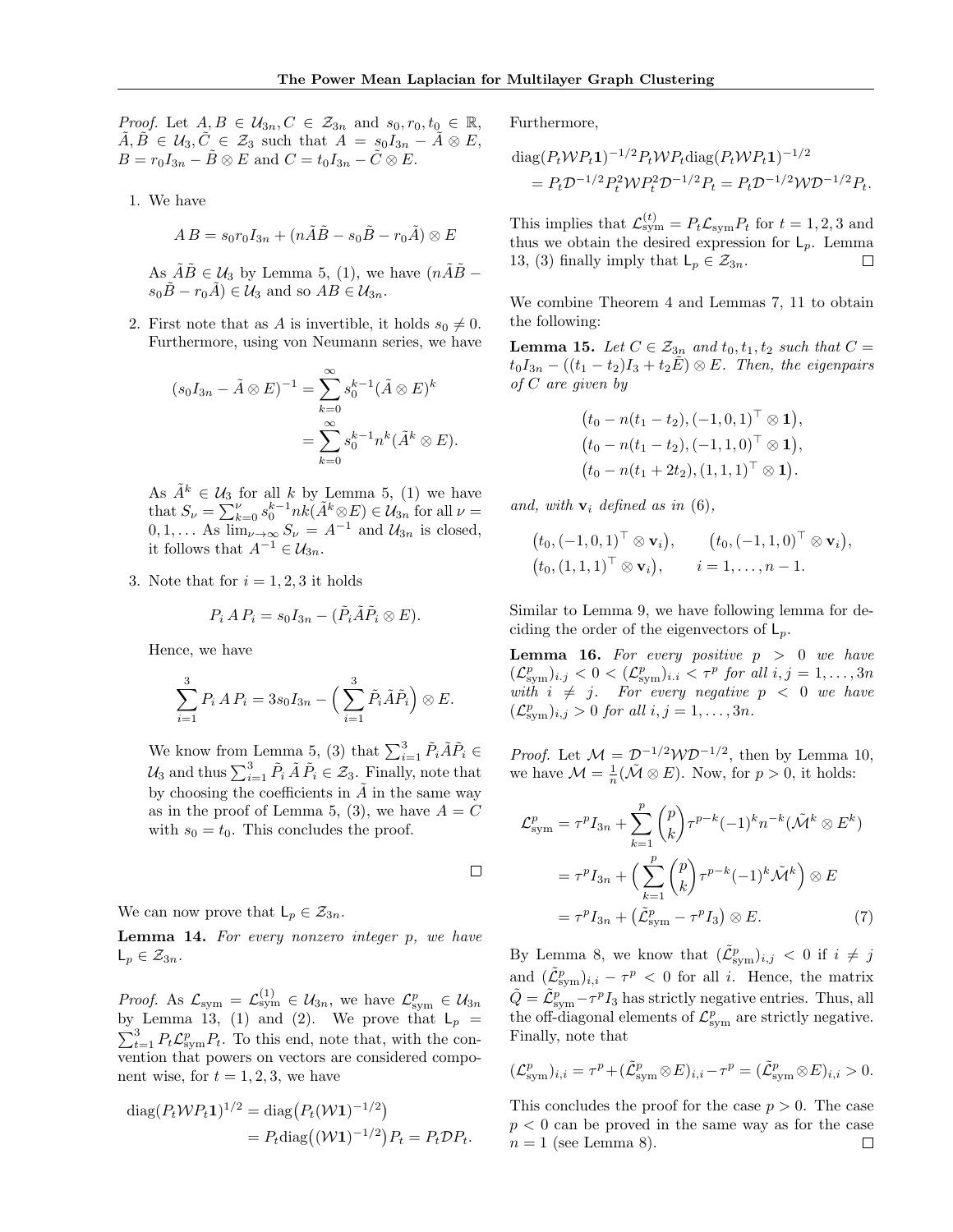*Proof.* Let  $A, B \in \mathcal{U}_{3n}, C \in \mathcal{Z}_{3n}$  and  $s_0, r_0, t_0 \in \mathbb{R}$ ,  $\tilde{A}, \tilde{B} \in \mathcal{U}_3, \tilde{C} \in \mathcal{Z}_3$  such that  $A = s_0 I_{3n} - \tilde{A} \otimes E$ ,  $B = r_0I_{3n} - \tilde{B} \otimes E$  and  $C = t_0I_{3n} - \tilde{C} \otimes E$ .

1. We have

$$
AB = s_0 r_0 I_{3n} + (n\tilde{A}\tilde{B} - s_0 \tilde{B} - r_0 \tilde{A}) \otimes E
$$

As  $\tilde{A}\tilde{B} \in \mathcal{U}_3$  by Lemma 5, (1), we have  $(n\tilde{A}\tilde{B} - )$  $s_0\tilde{B}-r_0\tilde{A}\in\mathcal{U}_3$  and so  $AB\in\mathcal{U}_{3n}$ .

2. First note that as A is invertible, it holds  $s_0 \neq 0$ . Furthermore, using von Neumann series, we have

$$
(s_0I_{3n} - \tilde{A} \otimes E)^{-1} = \sum_{k=0}^{\infty} s_0^{k-1} (\tilde{A} \otimes E)^k
$$
  
= 
$$
\sum_{k=0}^{\infty} s_0^{k-1} n^k (\tilde{A}^k \otimes E).
$$

As  $\tilde{A}^k \in \mathcal{U}_3$  for all k by Lemma 5, (1) we have that  $S_{\nu} = \sum_{k=0}^{\nu} s_0^{k-1} n k(\tilde{A}^k \otimes E) \in \mathcal{U}_{3n}$  for all  $\nu =$  $0, 1, \ldots$  As  $\lim_{\nu \to \infty} S_{\nu} = A^{-1}$  and  $\mathcal{U}_{3n}$  is closed, it follows that  $A^{-1} \in \mathcal{U}_{3n}$ .

3. Note that for  $i = 1, 2, 3$  it holds

$$
P_i A P_i = s_0 I_{3n} - (\tilde{P}_i \tilde{A} \tilde{P}_i \otimes E).
$$

Hence, we have

$$
\sum_{i=1}^3 P_i A P_i = 3s_0 I_{3n} - \left(\sum_{i=1}^3 \tilde{P}_i \tilde{A} \tilde{P}_i\right) \otimes E.
$$

We know from Lemma 5, (3) that  $\sum_{i=1}^{3} \tilde{P}_i \tilde{A} \tilde{P}_i \in$  $\mathcal{U}_3$  and thus  $\sum_{i=1}^3 \tilde{P}_i \tilde{A} \tilde{P}_i \in \mathcal{Z}_3$ . Finally, note that by choosing the coefficients in  $A$  in the same way as in the proof of Lemma 5, (3), we have  $A = C$ with  $s_0 = t_0$ . This concludes the proof.

 $\Box$ 

We can now prove that  $L_p \in \mathcal{Z}_{3n}$ .

Lemma 14. For every nonzero integer p, we have  $L_p \in \mathcal{Z}_{3n}$ .

*Proof.* As  $\mathcal{L}_{sym} = \mathcal{L}_{sym}^{(1)} \in \mathcal{U}_{3n}$ , we have  $\mathcal{L}_{sym}^p \in \mathcal{U}_{3n}$ by Lemma 13, (1) and (2). We prove that  $L_p =$  $\sum_{t=1}^{3} P_t \mathcal{L}_{sym}^p P_t$ . To this end, note that, with the convention that powers on vectors are considered component wise, for  $t = 1, 2, 3$ , we have

$$
diag(P_t \mathcal{W} P_t \mathbf{1})^{1/2} = diag(P_t(\mathcal{W} \mathbf{1})^{-1/2})
$$
  
=  $P_t diag((\mathcal{W} \mathbf{1})^{-1/2}) P_t = P_t \mathcal{D} P_t.$ 

Furthermore,

diag
$$
(P_t \mathcal{W} P_t \mathbf{1})^{-1/2} P_t \mathcal{W} P_t \text{diag}(P_t \mathcal{W} P_t \mathbf{1})^{-1/2}
$$
  
=  $P_t \mathcal{D}^{-1/2} P_t^2 \mathcal{W} P_t^2 \mathcal{D}^{-1/2} P_t = P_t \mathcal{D}^{-1/2} \mathcal{W} \mathcal{D}^{-1/2} P_t.$ 

This implies that  $\mathcal{L}_{sym}^{(t)} = P_t \mathcal{L}_{sym} P_t$  for  $t = 1, 2, 3$  and thus we obtain the desired expression for  $L_p$ . Lemma 13, (3) finally imply that  $L_p \in \mathcal{Z}_{3n}$ . П

We combine Theorem 4 and Lemmas 7, 11 to obtain the following:

**Lemma 15.** Let  $C \in \mathcal{Z}_{3n}$  and  $t_0, t_1, t_2$  such that  $C =$  $t_0I_{3n} - ((t_1 - t_2)I_3 + t_2E) \otimes E$ . Then, the eigenpairs of C are given by

$$
(t_0 - n(t_1 - t_2), (-1, 0, 1)^{\top} \otimes 1),
$$
  
\n
$$
(t_0 - n(t_1 - t_2), (-1, 1, 0)^{\top} \otimes 1),
$$
  
\n
$$
(t_0 - n(t_1 + 2t_2), (1, 1, 1)^{\top} \otimes 1).
$$

and, with  $\mathbf{v}_i$  defined as in (6),

$$
(t_0, (-1, 0, 1)^{\top} \otimes \mathbf{v}_i),
$$
  $(t_0, (-1, 1, 0)^{\top} \otimes \mathbf{v}_i),$   
 $(t_0, (1, 1, 1)^{\top} \otimes \mathbf{v}_i),$   $i = 1, ..., n - 1.$ 

Similar to Lemma 9, we have following lemma for deciding the order of the eigenvectors of  $\mathsf{L}_p$ .

**Lemma 16.** For every positive  $p > 0$  we have  $(\mathcal{L}^p_{sym})_{i,j} < 0 < (\mathcal{L}^p_{sym})_{i,i} < \tau^p$  for all  $i, j = 1, \ldots, 3n$ with  $i \neq j$ . For every negative  $p < 0$  we have  $(\mathcal{L}^p_{sym})_{i,j} > 0$  for all  $i, j = 1, \ldots, 3n$ .

*Proof.* Let  $\mathcal{M} = \mathcal{D}^{-1/2} \mathcal{W} \mathcal{D}^{-1/2}$ , then by Lemma 10, we have  $\mathcal{M} = \frac{1}{n}(\tilde{\mathcal{M}} \otimes E)$ . Now, for  $p > 0$ , it holds:

$$
\mathcal{L}_{sym}^p = \tau^p I_{3n} + \sum_{k=1}^p {p \choose k} \tau^{p-k} (-1)^k n^{-k} (\tilde{\mathcal{M}}^k \otimes E^k)
$$

$$
= \tau^p I_{3n} + \left( \sum_{k=1}^p {p \choose k} \tau^{p-k} (-1)^k \tilde{\mathcal{M}}^k \right) \otimes E
$$

$$
= \tau^p I_{3n} + (\tilde{\mathcal{L}}_{sym}^p - \tau^p I_3) \otimes E. \tag{7}
$$

By Lemma 8, we know that  $(\tilde{\mathcal{L}}_{sym}^p)_{i,j} < 0$  if  $i \neq j$ and  $(\tilde{\mathcal{L}}_{sym}^p)_{i,i} - \tau^p < 0$  for all i. Hence, the matrix  $\tilde{Q} = \tilde{\mathcal{L}}_{sym}^p - \tau^p I_3$  has strictly negative entries. Thus, all the off-diagonal elements of  $\mathcal{L}_{sym}^p$  are strictly negative. Finally, note that

$$
(\mathcal{L}^p_{\text{sym}})_{i,i} = \tau^p + (\tilde{\mathcal{L}}^p_{\text{sym}} \otimes E)_{i,i} - \tau^p = (\tilde{\mathcal{L}}^p_{\text{sym}} \otimes E)_{i,i} > 0.
$$

This concludes the proof for the case  $p > 0$ . The case  $p < 0$  can be proved in the same way as for the case  $n = 1$  (see Lemma 8).  $\Box$